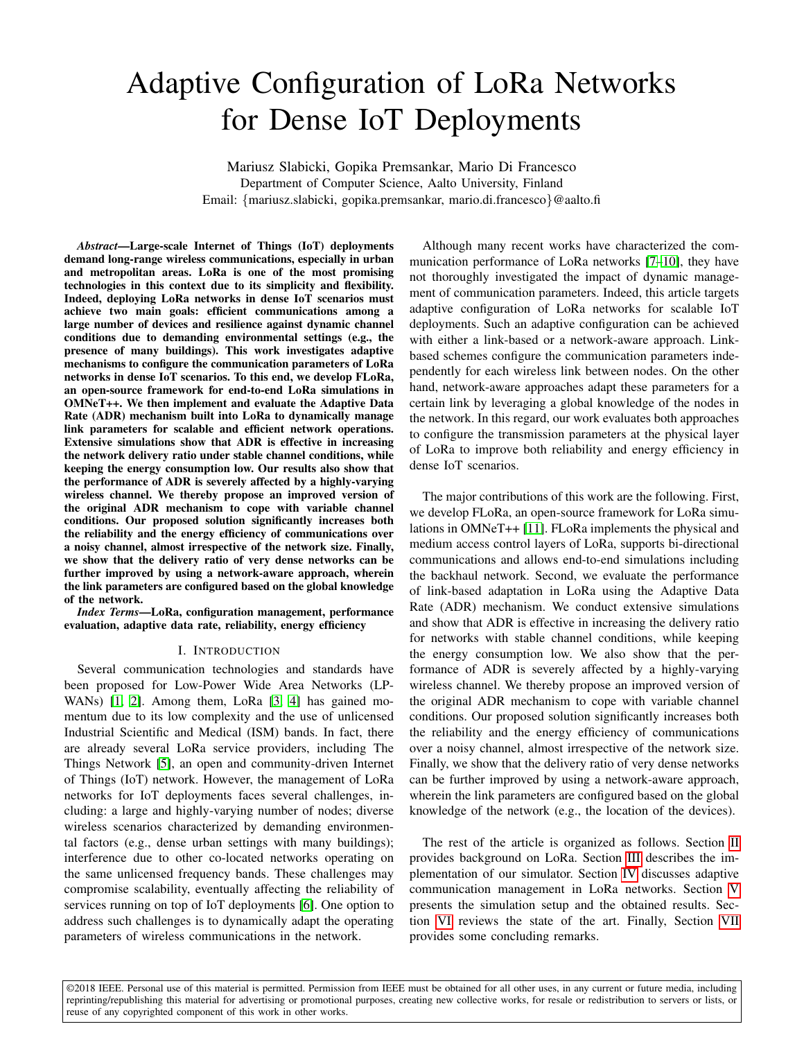# Adaptive Configuration of LoRa Networks for Dense IoT Deployments

Mariusz Slabicki, Gopika Premsankar, Mario Di Francesco Department of Computer Science, Aalto University, Finland Email: {mariusz.slabicki, gopika.premsankar, mario.di.francesco}@aalto.fi

*Abstract*—Large-scale Internet of Things (IoT) deployments demand long-range wireless communications, especially in urban and metropolitan areas. LoRa is one of the most promising technologies in this context due to its simplicity and flexibility. Indeed, deploying LoRa networks in dense IoT scenarios must achieve two main goals: efficient communications among a large number of devices and resilience against dynamic channel conditions due to demanding environmental settings (e.g., the presence of many buildings). This work investigates adaptive mechanisms to configure the communication parameters of LoRa networks in dense IoT scenarios. To this end, we develop FLoRa, an open-source framework for end-to-end LoRa simulations in OMNeT++. We then implement and evaluate the Adaptive Data Rate (ADR) mechanism built into LoRa to dynamically manage link parameters for scalable and efficient network operations. Extensive simulations show that ADR is effective in increasing the network delivery ratio under stable channel conditions, while keeping the energy consumption low. Our results also show that the performance of ADR is severely affected by a highly-varying wireless channel. We thereby propose an improved version of the original ADR mechanism to cope with variable channel conditions. Our proposed solution significantly increases both the reliability and the energy efficiency of communications over a noisy channel, almost irrespective of the network size. Finally, we show that the delivery ratio of very dense networks can be further improved by using a network-aware approach, wherein the link parameters are configured based on the global knowledge of the network.

*Index Terms*—LoRa, configuration management, performance evaluation, adaptive data rate, reliability, energy efficiency

### I. INTRODUCTION

Several communication technologies and standards have been proposed for Low-Power Wide Area Networks (LP-WANs) [\[1,](#page-8-0) [2\]](#page-8-1). Among them, LoRa [\[3,](#page-8-2) [4\]](#page-8-3) has gained momentum due to its low complexity and the use of unlicensed Industrial Scientific and Medical (ISM) bands. In fact, there are already several LoRa service providers, including The Things Network [\[5\]](#page-8-4), an open and community-driven Internet of Things (IoT) network. However, the management of LoRa networks for IoT deployments faces several challenges, including: a large and highly-varying number of nodes; diverse wireless scenarios characterized by demanding environmental factors (e.g., dense urban settings with many buildings); interference due to other co-located networks operating on the same unlicensed frequency bands. These challenges may compromise scalability, eventually affecting the reliability of services running on top of IoT deployments [\[6\]](#page-8-5). One option to address such challenges is to dynamically adapt the operating parameters of wireless communications in the network.

Although many recent works have characterized the communication performance of LoRa networks [\[7–](#page-8-6)[10\]](#page-8-7), they have not thoroughly investigated the impact of dynamic management of communication parameters. Indeed, this article targets adaptive configuration of LoRa networks for scalable IoT deployments. Such an adaptive configuration can be achieved with either a link-based or a network-aware approach. Linkbased schemes configure the communication parameters independently for each wireless link between nodes. On the other hand, network-aware approaches adapt these parameters for a certain link by leveraging a global knowledge of the nodes in the network. In this regard, our work evaluates both approaches to configure the transmission parameters at the physical layer of LoRa to improve both reliability and energy efficiency in dense IoT scenarios.

The major contributions of this work are the following. First, we develop FLoRa, an open-source framework for LoRa simulations in OMNeT++ [\[11\]](#page-8-8). FLoRa implements the physical and medium access control layers of LoRa, supports bi-directional communications and allows end-to-end simulations including the backhaul network. Second, we evaluate the performance of link-based adaptation in LoRa using the Adaptive Data Rate (ADR) mechanism. We conduct extensive simulations and show that ADR is effective in increasing the delivery ratio for networks with stable channel conditions, while keeping the energy consumption low. We also show that the performance of ADR is severely affected by a highly-varying wireless channel. We thereby propose an improved version of the original ADR mechanism to cope with variable channel conditions. Our proposed solution significantly increases both the reliability and the energy efficiency of communications over a noisy channel, almost irrespective of the network size. Finally, we show that the delivery ratio of very dense networks can be further improved by using a network-aware approach, wherein the link parameters are configured based on the global knowledge of the network (e.g., the location of the devices).

The rest of the article is organized as follows. Section [II](#page-1-0) provides background on LoRa. Section [III](#page-1-1) describes the implementation of our simulator. Section [IV](#page-2-0) discusses adaptive communication management in LoRa networks. Section [V](#page-3-0) presents the simulation setup and the obtained results. Section [VI](#page-7-0) reviews the state of the art. Finally, Section [VII](#page-7-1) provides some concluding remarks.

©2018 IEEE. Personal use of this material is permitted. Permission from IEEE must be obtained for all other uses, in any current or future media, including reprinting/republishing this material for advertising or promotional purposes, creating new collective works, for resale or redistribution to servers or lists, or reuse of any copyrighted component of this work in other works.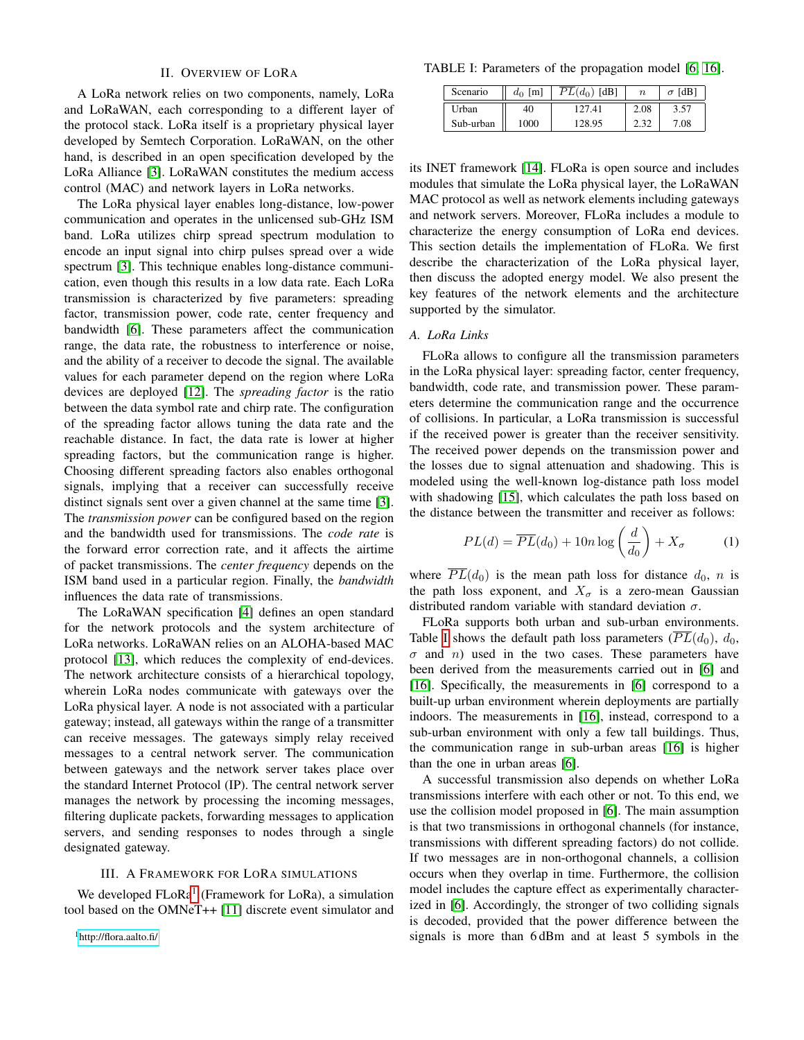# II. OVERVIEW OF LORA

<span id="page-1-0"></span>A LoRa network relies on two components, namely, LoRa and LoRaWAN, each corresponding to a different layer of the protocol stack. LoRa itself is a proprietary physical layer developed by Semtech Corporation. LoRaWAN, on the other hand, is described in an open specification developed by the LoRa Alliance [\[3\]](#page-8-2). LoRaWAN constitutes the medium access control (MAC) and network layers in LoRa networks.

The LoRa physical layer enables long-distance, low-power communication and operates in the unlicensed sub-GHz ISM band. LoRa utilizes chirp spread spectrum modulation to encode an input signal into chirp pulses spread over a wide spectrum [\[3\]](#page-8-2). This technique enables long-distance communication, even though this results in a low data rate. Each LoRa transmission is characterized by five parameters: spreading factor, transmission power, code rate, center frequency and bandwidth [\[6\]](#page-8-5). These parameters affect the communication range, the data rate, the robustness to interference or noise, and the ability of a receiver to decode the signal. The available values for each parameter depend on the region where LoRa devices are deployed [\[12\]](#page-8-9). The *spreading factor* is the ratio between the data symbol rate and chirp rate. The configuration of the spreading factor allows tuning the data rate and the reachable distance. In fact, the data rate is lower at higher spreading factors, but the communication range is higher. Choosing different spreading factors also enables orthogonal signals, implying that a receiver can successfully receive distinct signals sent over a given channel at the same time [\[3\]](#page-8-2). The *transmission power* can be configured based on the region and the bandwidth used for transmissions. The *code rate* is the forward error correction rate, and it affects the airtime of packet transmissions. The *center frequency* depends on the ISM band used in a particular region. Finally, the *bandwidth* influences the data rate of transmissions.

The LoRaWAN specification [\[4\]](#page-8-3) defines an open standard for the network protocols and the system architecture of LoRa networks. LoRaWAN relies on an ALOHA-based MAC protocol [\[13\]](#page-8-10), which reduces the complexity of end-devices. The network architecture consists of a hierarchical topology, wherein LoRa nodes communicate with gateways over the LoRa physical layer. A node is not associated with a particular gateway; instead, all gateways within the range of a transmitter can receive messages. The gateways simply relay received messages to a central network server. The communication between gateways and the network server takes place over the standard Internet Protocol (IP). The central network server manages the network by processing the incoming messages, filtering duplicate packets, forwarding messages to application servers, and sending responses to nodes through a single designated gateway.

#### III. A FRAMEWORK FOR LORA SIMULATIONS

<span id="page-1-2"></span><span id="page-1-1"></span>We developed FLoRa<sup>[1](#page-1-2)</sup> (Framework for LoRa), a simulation tool based on the OMNeT++ [\[11\]](#page-8-8) discrete event simulator and

<span id="page-1-3"></span>TABLE I: Parameters of the propagation model [\[6,](#page-8-5) [16\]](#page-8-11).

| Scenario  | $d_0$ [m] | $PL(d_0)$ [dB] | $\boldsymbol{n}$ | [dB]<br>$\sigma$ |
|-----------|-----------|----------------|------------------|------------------|
| Urban     | 40        | 127.41         | 2.08             | 3.57             |
| Sub-urban | 1000      | 128.95         | 2.32             | 7.08             |

its INET framework [\[14\]](#page-8-12). FLoRa is open source and includes modules that simulate the LoRa physical layer, the LoRaWAN MAC protocol as well as network elements including gateways and network servers. Moreover, FLoRa includes a module to characterize the energy consumption of LoRa end devices. This section details the implementation of FLoRa. We first describe the characterization of the LoRa physical layer, then discuss the adopted energy model. We also present the key features of the network elements and the architecture supported by the simulator.

## *A. LoRa Links*

FLoRa allows to configure all the transmission parameters in the LoRa physical layer: spreading factor, center frequency, bandwidth, code rate, and transmission power. These parameters determine the communication range and the occurrence of collisions. In particular, a LoRa transmission is successful if the received power is greater than the receiver sensitivity. The received power depends on the transmission power and the losses due to signal attenuation and shadowing. This is modeled using the well-known log-distance path loss model with shadowing [\[15\]](#page-8-13), which calculates the path loss based on the distance between the transmitter and receiver as follows:

$$
PL(d) = \overline{PL}(d_0) + 10n \log \left(\frac{d}{d_0}\right) + X_{\sigma}
$$
 (1)

where  $\overline{PL}(d_0)$  is the mean path loss for distance  $d_0$ , n is the path loss exponent, and  $X_{\sigma}$  is a zero-mean Gaussian distributed random variable with standard deviation  $\sigma$ .

FLoRa supports both urban and sub-urban environments. Table [I](#page-1-3) shows the default path loss parameters  $(\overline{PL}(d_0), d_0,$  $\sigma$  and n) used in the two cases. These parameters have been derived from the measurements carried out in [\[6\]](#page-8-5) and [\[16\]](#page-8-11). Specifically, the measurements in [\[6\]](#page-8-5) correspond to a built-up urban environment wherein deployments are partially indoors. The measurements in [\[16\]](#page-8-11), instead, correspond to a sub-urban environment with only a few tall buildings. Thus, the communication range in sub-urban areas [\[16\]](#page-8-11) is higher than the one in urban areas [\[6\]](#page-8-5).

A successful transmission also depends on whether LoRa transmissions interfere with each other or not. To this end, we use the collision model proposed in [\[6\]](#page-8-5). The main assumption is that two transmissions in orthogonal channels (for instance, transmissions with different spreading factors) do not collide. If two messages are in non-orthogonal channels, a collision occurs when they overlap in time. Furthermore, the collision model includes the capture effect as experimentally characterized in [\[6\]](#page-8-5). Accordingly, the stronger of two colliding signals is decoded, provided that the power difference between the signals is more than 6 dBm and at least 5 symbols in the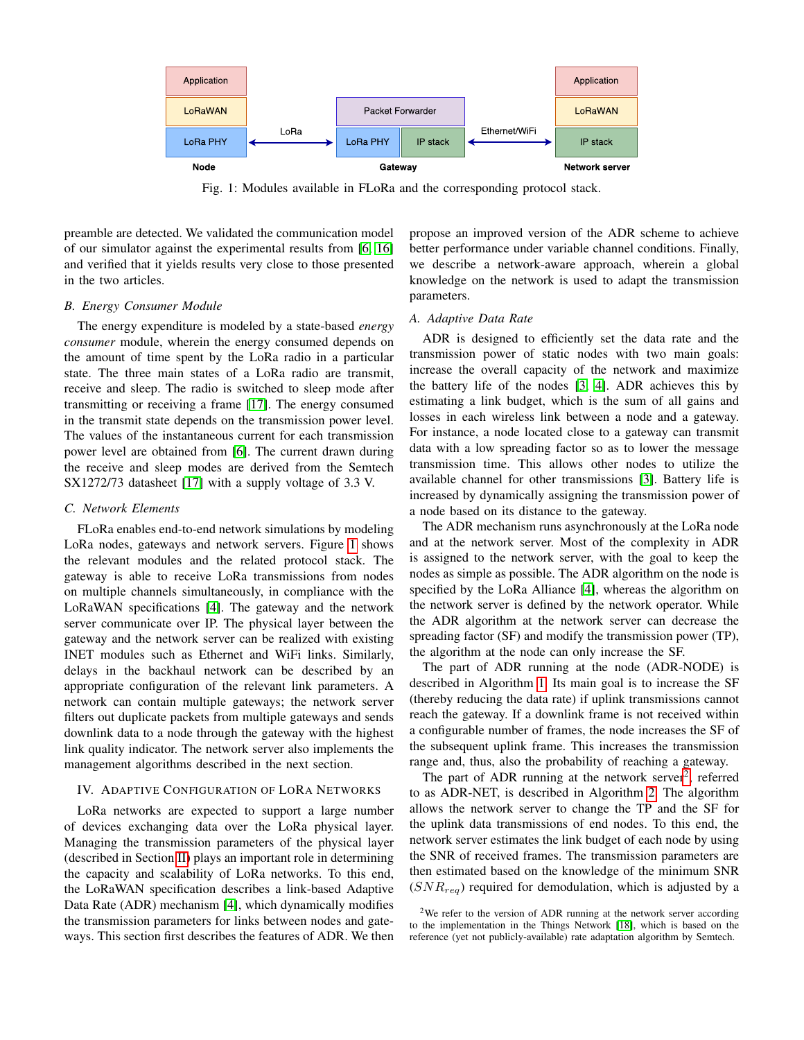<span id="page-2-1"></span>

Fig. 1: Modules available in FLoRa and the corresponding protocol stack.

preamble are detected. We validated the communication model of our simulator against the experimental results from [\[6,](#page-8-5) [16\]](#page-8-11) and verified that it yields results very close to those presented in the two articles.

#### *B. Energy Consumer Module*

The energy expenditure is modeled by a state-based *energy consumer* module, wherein the energy consumed depends on the amount of time spent by the LoRa radio in a particular state. The three main states of a LoRa radio are transmit, receive and sleep. The radio is switched to sleep mode after transmitting or receiving a frame [\[17\]](#page-8-14). The energy consumed in the transmit state depends on the transmission power level. The values of the instantaneous current for each transmission power level are obtained from [\[6\]](#page-8-5). The current drawn during the receive and sleep modes are derived from the Semtech SX1272/73 datasheet [\[17\]](#page-8-14) with a supply voltage of 3.3 V.

#### *C. Network Elements*

FLoRa enables end-to-end network simulations by modeling LoRa nodes, gateways and network servers. Figure [1](#page-2-1) shows the relevant modules and the related protocol stack. The gateway is able to receive LoRa transmissions from nodes on multiple channels simultaneously, in compliance with the LoRaWAN specifications [\[4\]](#page-8-3). The gateway and the network server communicate over IP. The physical layer between the gateway and the network server can be realized with existing INET modules such as Ethernet and WiFi links. Similarly, delays in the backhaul network can be described by an appropriate configuration of the relevant link parameters. A network can contain multiple gateways; the network server filters out duplicate packets from multiple gateways and sends downlink data to a node through the gateway with the highest link quality indicator. The network server also implements the management algorithms described in the next section.

## <span id="page-2-0"></span>IV. ADAPTIVE CONFIGURATION OF LORA NETWORKS

LoRa networks are expected to support a large number of devices exchanging data over the LoRa physical layer. Managing the transmission parameters of the physical layer (described in Section [II\)](#page-1-0) plays an important role in determining the capacity and scalability of LoRa networks. To this end, the LoRaWAN specification describes a link-based Adaptive Data Rate (ADR) mechanism [\[4\]](#page-8-3), which dynamically modifies the transmission parameters for links between nodes and gateways. This section first describes the features of ADR. We then propose an improved version of the ADR scheme to achieve better performance under variable channel conditions. Finally, we describe a network-aware approach, wherein a global knowledge on the network is used to adapt the transmission parameters.

# <span id="page-2-3"></span>*A. Adaptive Data Rate*

ADR is designed to efficiently set the data rate and the transmission power of static nodes with two main goals: increase the overall capacity of the network and maximize the battery life of the nodes [\[3,](#page-8-2) [4\]](#page-8-3). ADR achieves this by estimating a link budget, which is the sum of all gains and losses in each wireless link between a node and a gateway. For instance, a node located close to a gateway can transmit data with a low spreading factor so as to lower the message transmission time. This allows other nodes to utilize the available channel for other transmissions [\[3\]](#page-8-2). Battery life is increased by dynamically assigning the transmission power of a node based on its distance to the gateway.

The ADR mechanism runs asynchronously at the LoRa node and at the network server. Most of the complexity in ADR is assigned to the network server, with the goal to keep the nodes as simple as possible. The ADR algorithm on the node is specified by the LoRa Alliance [\[4\]](#page-8-3), whereas the algorithm on the network server is defined by the network operator. While the ADR algorithm at the network server can decrease the spreading factor (SF) and modify the transmission power (TP), the algorithm at the node can only increase the SF.

The part of ADR running at the node (ADR-NODE) is described in Algorithm [1.](#page-3-1) Its main goal is to increase the SF (thereby reducing the data rate) if uplink transmissions cannot reach the gateway. If a downlink frame is not received within a configurable number of frames, the node increases the SF of the subsequent uplink frame. This increases the transmission range and, thus, also the probability of reaching a gateway.

The part of ADR running at the network server<sup>[2](#page-2-2)</sup>, referred to as ADR-NET, is described in Algorithm [2.](#page-3-2) The algorithm allows the network server to change the TP and the SF for the uplink data transmissions of end nodes. To this end, the network server estimates the link budget of each node by using the SNR of received frames. The transmission parameters are then estimated based on the knowledge of the minimum SNR  $(SNR_{req})$  required for demodulation, which is adjusted by a

<span id="page-2-2"></span><sup>&</sup>lt;sup>2</sup>We refer to the version of ADR running at the network server according to the implementation in the Things Network [\[18\]](#page-8-15), which is based on the reference (yet not publicly-available) rate adaptation algorithm by Semtech.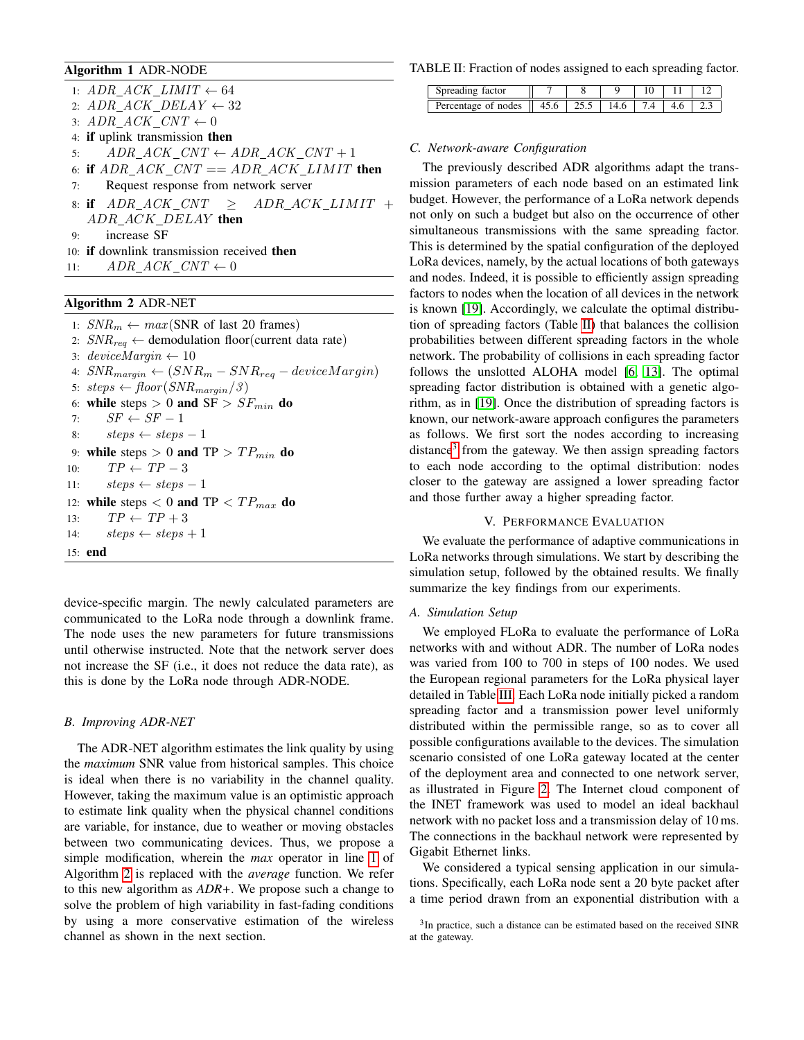# <span id="page-3-1"></span>Algorithm 1 ADR-NODE

1:  $ADR\_ACK\_LIMIT \leftarrow 64$ 2:  $ADR\_ACK\_DELAY \leftarrow 32$ 3:  $ADR\_ACK\_CNT \leftarrow 0$ 4: if uplink transmission then 5:  $ADR\_ACK\_CNT \leftarrow ADR\_ACK\_CNT + 1$ 6: if  $ADR\_ACK\_CNT = ADR\_ACK\_LIMIT$  then 7: Request response from network server 8: if  $ADR$   $ACK$   $CNT$   $\rightarrow$   $ADR$   $ACK$   $LIMIT$  + ADR\_ACK\_DELAY then 9: increase SF 10: if downlink transmission received then 11:  $ADR\_ACK\_CNT \leftarrow 0$ 

# <span id="page-3-2"></span>Algorithm 2 ADR-NET

1:  $SNR_m \leftarrow max(SNR \text{ of last } 20 \text{ frames})$ 2:  $SNR_{req} \leftarrow$  demodulation floor(current data rate) 3:  $deviceMargin \leftarrow 10$ 4:  $SNR_{margin} \leftarrow (SNR_m - SNR_{req} - deviceMargin)$ 5:  $steps \leftarrow floor(SNR_{margin}/3)$ 6: while steps  $> 0$  and  $SF > SF_{min}$  do 7:  $SF \leftarrow SF - 1$ 8:  $steps \leftarrow steps - 1$ 9: while steps  $> 0$  and TP  $> TP_{min}$  do 10:  $TP \leftarrow TP - 3$ 11:  $steps \leftarrow steps - 1$ 12: while steps  $< 0$  and TP  $< TP_{max}$  do 13:  $TP \leftarrow TP + 3$ 14:  $steps \leftarrow steps + 1$ 15: end

device-specific margin. The newly calculated parameters are communicated to the LoRa node through a downlink frame. The node uses the new parameters for future transmissions until otherwise instructed. Note that the network server does not increase the SF (i.e., it does not reduce the data rate), as this is done by the LoRa node through ADR-NODE.

### <span id="page-3-5"></span>*B. Improving ADR-NET*

The ADR-NET algorithm estimates the link quality by using the *maximum* SNR value from historical samples. This choice is ideal when there is no variability in the channel quality. However, taking the maximum value is an optimistic approach to estimate link quality when the physical channel conditions are variable, for instance, due to weather or moving obstacles between two communicating devices. Thus, we propose a simple modification, wherein the *max* operator in line [1](#page-3-2) of Algorithm [2](#page-3-2) is replaced with the *average* function. We refer to this new algorithm as *ADR+*. We propose such a change to solve the problem of high variability in fast-fading conditions by using a more conservative estimation of the wireless channel as shown in the next section.

<span id="page-3-3"></span>TABLE II: Fraction of nodes assigned to each spreading factor.

| Spreading factor                                                  |  |      |  |  |
|-------------------------------------------------------------------|--|------|--|--|
| Percentage of nodes $\parallel$ 45.6 $\parallel$ 25.5 $\parallel$ |  | 14.6 |  |  |

#### <span id="page-3-6"></span>*C. Network-aware Configuration*

The previously described ADR algorithms adapt the transmission parameters of each node based on an estimated link budget. However, the performance of a LoRa network depends not only on such a budget but also on the occurrence of other simultaneous transmissions with the same spreading factor. This is determined by the spatial configuration of the deployed LoRa devices, namely, by the actual locations of both gateways and nodes. Indeed, it is possible to efficiently assign spreading factors to nodes when the location of all devices in the network is known [\[19\]](#page-8-16). Accordingly, we calculate the optimal distribution of spreading factors (Table [II\)](#page-3-3) that balances the collision probabilities between different spreading factors in the whole network. The probability of collisions in each spreading factor follows the unslotted ALOHA model [\[6,](#page-8-5) [13\]](#page-8-10). The optimal spreading factor distribution is obtained with a genetic algorithm, as in [\[19\]](#page-8-16). Once the distribution of spreading factors is known, our network-aware approach configures the parameters as follows. We first sort the nodes according to increasing distance<sup>[3](#page-3-4)</sup> from the gateway. We then assign spreading factors to each node according to the optimal distribution: nodes closer to the gateway are assigned a lower spreading factor and those further away a higher spreading factor.

# V. PERFORMANCE EVALUATION

<span id="page-3-0"></span>We evaluate the performance of adaptive communications in LoRa networks through simulations. We start by describing the simulation setup, followed by the obtained results. We finally summarize the key findings from our experiments.

#### *A. Simulation Setup*

We employed FLoRa to evaluate the performance of LoRa networks with and without ADR. The number of LoRa nodes was varied from 100 to 700 in steps of 100 nodes. We used the European regional parameters for the LoRa physical layer detailed in Table [III.](#page-4-0) Each LoRa node initially picked a random spreading factor and a transmission power level uniformly distributed within the permissible range, so as to cover all possible configurations available to the devices. The simulation scenario consisted of one LoRa gateway located at the center of the deployment area and connected to one network server, as illustrated in Figure [2.](#page-4-1) The Internet cloud component of the INET framework was used to model an ideal backhaul network with no packet loss and a transmission delay of 10 ms. The connections in the backhaul network were represented by Gigabit Ethernet links.

We considered a typical sensing application in our simulations. Specifically, each LoRa node sent a 20 byte packet after a time period drawn from an exponential distribution with a

<span id="page-3-4"></span><sup>&</sup>lt;sup>3</sup>In practice, such a distance can be estimated based on the received SINR at the gateway.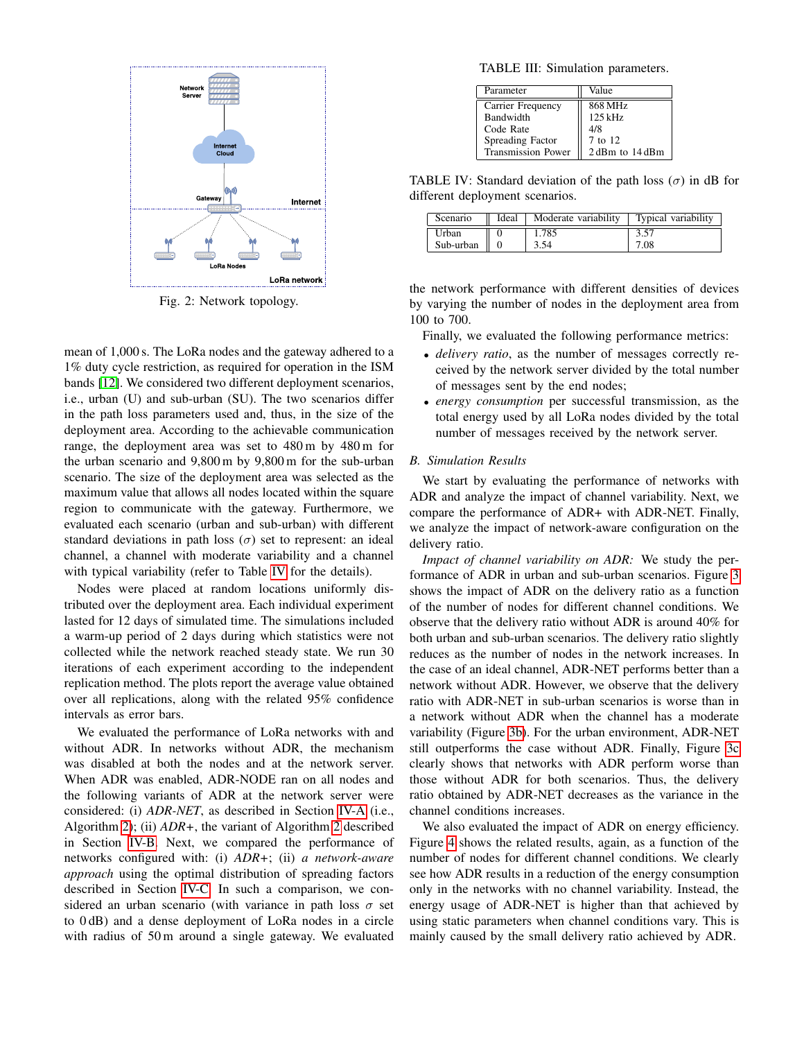<span id="page-4-1"></span>

Fig. 2: Network topology.

mean of 1,000 s. The LoRa nodes and the gateway adhered to a 1% duty cycle restriction, as required for operation in the ISM bands [\[12\]](#page-8-9). We considered two different deployment scenarios, i.e., urban (U) and sub-urban (SU). The two scenarios differ in the path loss parameters used and, thus, in the size of the deployment area. According to the achievable communication range, the deployment area was set to 480 m by 480 m for the urban scenario and 9,800 m by 9,800 m for the sub-urban scenario. The size of the deployment area was selected as the maximum value that allows all nodes located within the square region to communicate with the gateway. Furthermore, we evaluated each scenario (urban and sub-urban) with different standard deviations in path loss  $(\sigma)$  set to represent: an ideal channel, a channel with moderate variability and a channel with typical variability (refer to Table [IV](#page-4-2) for the details).

Nodes were placed at random locations uniformly distributed over the deployment area. Each individual experiment lasted for 12 days of simulated time. The simulations included a warm-up period of 2 days during which statistics were not collected while the network reached steady state. We run 30 iterations of each experiment according to the independent replication method. The plots report the average value obtained over all replications, along with the related 95% confidence intervals as error bars.

We evaluated the performance of LoRa networks with and without ADR. In networks without ADR, the mechanism was disabled at both the nodes and at the network server. When ADR was enabled, ADR-NODE ran on all nodes and the following variants of ADR at the network server were considered: (i) *ADR-NET*, as described in Section [IV-A](#page-2-3) (i.e., Algorithm [2\)](#page-3-2); (ii) *ADR+*, the variant of Algorithm [2](#page-3-2) described in Section [IV-B.](#page-3-5) Next, we compared the performance of networks configured with: (i) *ADR+*; (ii) *a network-aware approach* using the optimal distribution of spreading factors described in Section [IV-C.](#page-3-6) In such a comparison, we considered an urban scenario (with variance in path loss  $\sigma$  set to 0 dB) and a dense deployment of LoRa nodes in a circle with radius of 50 m around a single gateway. We evaluated

<span id="page-4-0"></span>TABLE III: Simulation parameters.

| Parameter                 | Value           |
|---------------------------|-----------------|
| Carrier Frequency         | 868 MHz         |
| Bandwidth                 | $125$ kHz       |
| Code Rate                 | 4/8             |
| Spreading Factor          | 7 to 12         |
| <b>Transmission Power</b> | 2 dBm to 14 dBm |

<span id="page-4-2"></span>TABLE IV: Standard deviation of the path loss  $(\sigma)$  in dB for different deployment scenarios.

| Scenario  | Ideal | Moderate variability | Typical variability |
|-----------|-------|----------------------|---------------------|
| Urban     |       | 1.785                |                     |
| Sub-urban |       | 3.54                 | 7.08                |

the network performance with different densities of devices by varying the number of nodes in the deployment area from 100 to 700.

Finally, we evaluated the following performance metrics:

- *delivery ratio*, as the number of messages correctly received by the network server divided by the total number of messages sent by the end nodes;
- *energy consumption* per successful transmission, as the total energy used by all LoRa nodes divided by the total number of messages received by the network server.

## *B. Simulation Results*

We start by evaluating the performance of networks with ADR and analyze the impact of channel variability. Next, we compare the performance of ADR+ with ADR-NET. Finally, we analyze the impact of network-aware configuration on the delivery ratio.

*Impact of channel variability on ADR:* We study the performance of ADR in urban and sub-urban scenarios. Figure [3](#page-5-0) shows the impact of ADR on the delivery ratio as a function of the number of nodes for different channel conditions. We observe that the delivery ratio without ADR is around 40% for both urban and sub-urban scenarios. The delivery ratio slightly reduces as the number of nodes in the network increases. In the case of an ideal channel, ADR-NET performs better than a network without ADR. However, we observe that the delivery ratio with ADR-NET in sub-urban scenarios is worse than in a network without ADR when the channel has a moderate variability (Figure [3b\)](#page-5-0). For the urban environment, ADR-NET still outperforms the case without ADR. Finally, Figure [3c](#page-5-0) clearly shows that networks with ADR perform worse than those without ADR for both scenarios. Thus, the delivery ratio obtained by ADR-NET decreases as the variance in the channel conditions increases.

We also evaluated the impact of ADR on energy efficiency. Figure [4](#page-5-1) shows the related results, again, as a function of the number of nodes for different channel conditions. We clearly see how ADR results in a reduction of the energy consumption only in the networks with no channel variability. Instead, the energy usage of ADR-NET is higher than that achieved by using static parameters when channel conditions vary. This is mainly caused by the small delivery ratio achieved by ADR.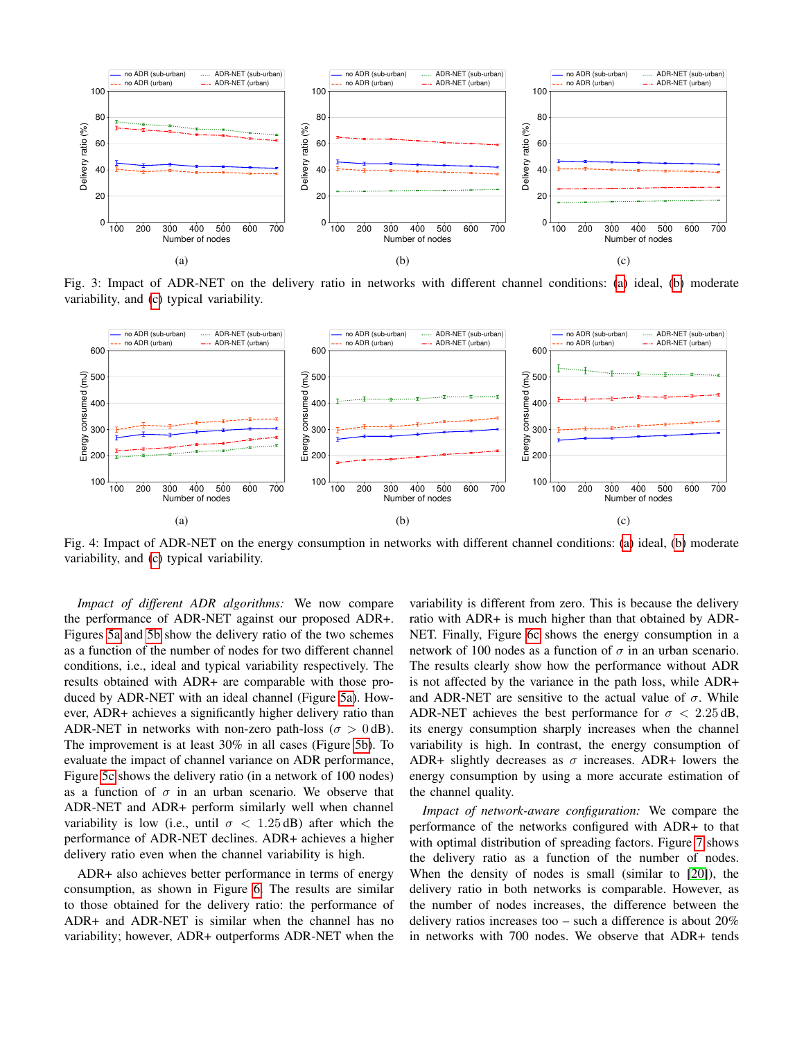<span id="page-5-0"></span>

Fig. 3: Impact of ADR-NET on the delivery ratio in networks with different channel conditions: [\(a\)](#page-5-0) ideal, [\(b\)](#page-5-0) moderate variability, and [\(c\)](#page-5-0) typical variability.

<span id="page-5-1"></span>

Fig. 4: Impact of ADR-NET on the energy consumption in networks with different channel conditions: [\(a\)](#page-5-0) ideal, [\(b\)](#page-5-0) moderate variability, and [\(c\)](#page-5-0) typical variability.

*Impact of different ADR algorithms:* We now compare the performance of ADR-NET against our proposed ADR+. Figures [5a](#page-6-0) and [5b](#page-6-0) show the delivery ratio of the two schemes as a function of the number of nodes for two different channel conditions, i.e., ideal and typical variability respectively. The results obtained with ADR+ are comparable with those produced by ADR-NET with an ideal channel (Figure [5a\)](#page-6-0). However, ADR+ achieves a significantly higher delivery ratio than ADR-NET in networks with non-zero path-loss ( $\sigma > 0$  dB). The improvement is at least 30% in all cases (Figure [5b\)](#page-6-0). To evaluate the impact of channel variance on ADR performance, Figure [5c](#page-6-0) shows the delivery ratio (in a network of 100 nodes) as a function of  $\sigma$  in an urban scenario. We observe that ADR-NET and ADR+ perform similarly well when channel variability is low (i.e., until  $\sigma$  < 1.25 dB) after which the performance of ADR-NET declines. ADR+ achieves a higher delivery ratio even when the channel variability is high.

ADR+ also achieves better performance in terms of energy consumption, as shown in Figure [6.](#page-6-1) The results are similar to those obtained for the delivery ratio: the performance of ADR+ and ADR-NET is similar when the channel has no variability; however, ADR+ outperforms ADR-NET when the

variability is different from zero. This is because the delivery ratio with ADR+ is much higher than that obtained by ADR-NET. Finally, Figure [6c](#page-6-1) shows the energy consumption in a network of 100 nodes as a function of  $\sigma$  in an urban scenario. The results clearly show how the performance without ADR is not affected by the variance in the path loss, while ADR+ and ADR-NET are sensitive to the actual value of  $\sigma$ . While ADR-NET achieves the best performance for  $\sigma$  < 2.25 dB, its energy consumption sharply increases when the channel variability is high. In contrast, the energy consumption of ADR+ slightly decreases as  $\sigma$  increases. ADR+ lowers the energy consumption by using a more accurate estimation of the channel quality.

*Impact of network-aware configuration:* We compare the performance of the networks configured with ADR+ to that with optimal distribution of spreading factors. Figure [7](#page-7-2) shows the delivery ratio as a function of the number of nodes. When the density of nodes is small (similar to [\[20\]](#page-8-17)), the delivery ratio in both networks is comparable. However, as the number of nodes increases, the difference between the delivery ratios increases too – such a difference is about 20% in networks with 700 nodes. We observe that ADR+ tends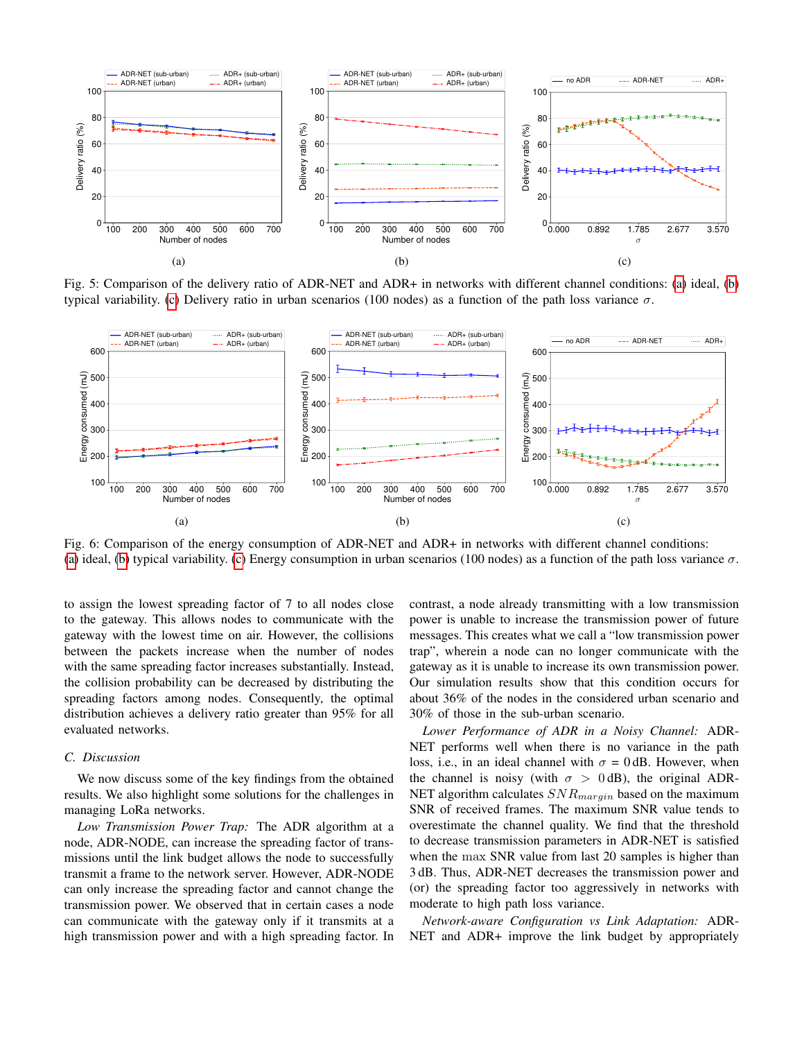<span id="page-6-0"></span>

Fig. 5: Comparison of the delivery ratio of ADR-NET and ADR+ in networks with different channel conditions: [\(a\)](#page-6-0) ideal, [\(b\)](#page-6-0) typical variability. [\(c\)](#page-6-0) Delivery ratio in urban scenarios (100 nodes) as a function of the path loss variance σ.

<span id="page-6-1"></span>

Fig. 6: Comparison of the energy consumption of ADR-NET and ADR+ in networks with different channel conditions: [\(a\)](#page-6-1) ideal, [\(b\)](#page-6-1) typical variability. [\(c\)](#page-6-1) Energy consumption in urban scenarios (100 nodes) as a function of the path loss variance  $\sigma$ .

to assign the lowest spreading factor of 7 to all nodes close to the gateway. This allows nodes to communicate with the gateway with the lowest time on air. However, the collisions between the packets increase when the number of nodes with the same spreading factor increases substantially. Instead, the collision probability can be decreased by distributing the spreading factors among nodes. Consequently, the optimal distribution achieves a delivery ratio greater than 95% for all evaluated networks.

# *C. Discussion*

We now discuss some of the key findings from the obtained results. We also highlight some solutions for the challenges in managing LoRa networks.

*Low Transmission Power Trap:* The ADR algorithm at a node, ADR-NODE, can increase the spreading factor of transmissions until the link budget allows the node to successfully transmit a frame to the network server. However, ADR-NODE can only increase the spreading factor and cannot change the transmission power. We observed that in certain cases a node can communicate with the gateway only if it transmits at a high transmission power and with a high spreading factor. In contrast, a node already transmitting with a low transmission power is unable to increase the transmission power of future messages. This creates what we call a "low transmission power trap", wherein a node can no longer communicate with the gateway as it is unable to increase its own transmission power. Our simulation results show that this condition occurs for about 36% of the nodes in the considered urban scenario and 30% of those in the sub-urban scenario.

*Lower Performance of ADR in a Noisy Channel:* ADR-NET performs well when there is no variance in the path loss, i.e., in an ideal channel with  $\sigma = 0$  dB. However, when the channel is noisy (with  $\sigma > 0$  dB), the original ADR-NET algorithm calculates  $SNR_{margin}$  based on the maximum SNR of received frames. The maximum SNR value tends to overestimate the channel quality. We find that the threshold to decrease transmission parameters in ADR-NET is satisfied when the max SNR value from last 20 samples is higher than 3 dB. Thus, ADR-NET decreases the transmission power and (or) the spreading factor too aggressively in networks with moderate to high path loss variance.

*Network-aware Configuration vs Link Adaptation:* ADR-NET and ADR+ improve the link budget by appropriately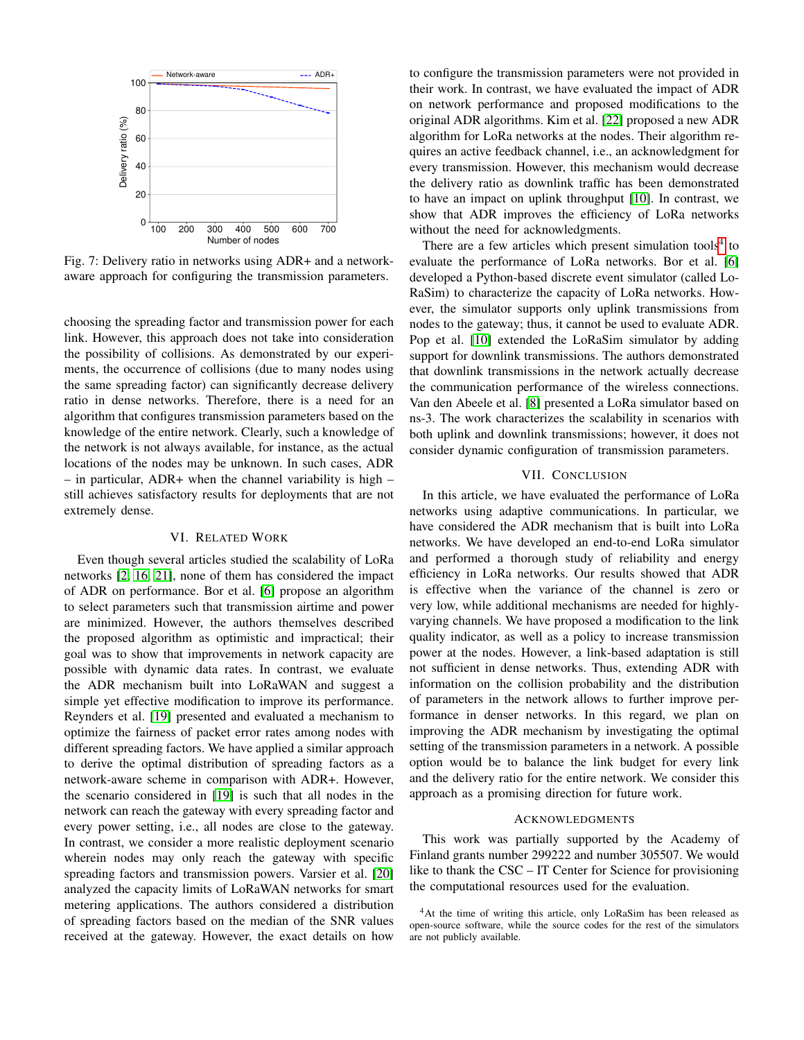<span id="page-7-2"></span>

Fig. 7: Delivery ratio in networks using ADR+ and a networkaware approach for configuring the transmission parameters.

choosing the spreading factor and transmission power for each link. However, this approach does not take into consideration the possibility of collisions. As demonstrated by our experiments, the occurrence of collisions (due to many nodes using the same spreading factor) can significantly decrease delivery ratio in dense networks. Therefore, there is a need for an algorithm that configures transmission parameters based on the knowledge of the entire network. Clearly, such a knowledge of the network is not always available, for instance, as the actual locations of the nodes may be unknown. In such cases, ADR – in particular, ADR+ when the channel variability is high – still achieves satisfactory results for deployments that are not extremely dense.

#### VI. RELATED WORK

<span id="page-7-0"></span>Even though several articles studied the scalability of LoRa networks [\[2,](#page-8-1) [16,](#page-8-11) [21\]](#page-8-18), none of them has considered the impact of ADR on performance. Bor et al. [\[6\]](#page-8-5) propose an algorithm to select parameters such that transmission airtime and power are minimized. However, the authors themselves described the proposed algorithm as optimistic and impractical; their goal was to show that improvements in network capacity are possible with dynamic data rates. In contrast, we evaluate the ADR mechanism built into LoRaWAN and suggest a simple yet effective modification to improve its performance. Reynders et al. [\[19\]](#page-8-16) presented and evaluated a mechanism to optimize the fairness of packet error rates among nodes with different spreading factors. We have applied a similar approach to derive the optimal distribution of spreading factors as a network-aware scheme in comparison with ADR+. However, the scenario considered in [\[19\]](#page-8-16) is such that all nodes in the network can reach the gateway with every spreading factor and every power setting, i.e., all nodes are close to the gateway. In contrast, we consider a more realistic deployment scenario wherein nodes may only reach the gateway with specific spreading factors and transmission powers. Varsier et al. [\[20\]](#page-8-17) analyzed the capacity limits of LoRaWAN networks for smart metering applications. The authors considered a distribution of spreading factors based on the median of the SNR values received at the gateway. However, the exact details on how to configure the transmission parameters were not provided in their work. In contrast, we have evaluated the impact of ADR on network performance and proposed modifications to the original ADR algorithms. Kim et al. [\[22\]](#page-8-19) proposed a new ADR algorithm for LoRa networks at the nodes. Their algorithm requires an active feedback channel, i.e., an acknowledgment for every transmission. However, this mechanism would decrease the delivery ratio as downlink traffic has been demonstrated to have an impact on uplink throughput [\[10\]](#page-8-7). In contrast, we show that ADR improves the efficiency of LoRa networks without the need for acknowledgments.

There are a few articles which present simulation tools<sup>[4](#page-7-3)</sup> to evaluate the performance of LoRa networks. Bor et al. [\[6\]](#page-8-5) developed a Python-based discrete event simulator (called Lo-RaSim) to characterize the capacity of LoRa networks. However, the simulator supports only uplink transmissions from nodes to the gateway; thus, it cannot be used to evaluate ADR. Pop et al. [\[10\]](#page-8-7) extended the LoRaSim simulator by adding support for downlink transmissions. The authors demonstrated that downlink transmissions in the network actually decrease the communication performance of the wireless connections. Van den Abeele et al. [\[8\]](#page-8-20) presented a LoRa simulator based on ns-3. The work characterizes the scalability in scenarios with both uplink and downlink transmissions; however, it does not consider dynamic configuration of transmission parameters.

#### VII. CONCLUSION

<span id="page-7-1"></span>In this article, we have evaluated the performance of LoRa networks using adaptive communications. In particular, we have considered the ADR mechanism that is built into LoRa networks. We have developed an end-to-end LoRa simulator and performed a thorough study of reliability and energy efficiency in LoRa networks. Our results showed that ADR is effective when the variance of the channel is zero or very low, while additional mechanisms are needed for highlyvarying channels. We have proposed a modification to the link quality indicator, as well as a policy to increase transmission power at the nodes. However, a link-based adaptation is still not sufficient in dense networks. Thus, extending ADR with information on the collision probability and the distribution of parameters in the network allows to further improve performance in denser networks. In this regard, we plan on improving the ADR mechanism by investigating the optimal setting of the transmission parameters in a network. A possible option would be to balance the link budget for every link and the delivery ratio for the entire network. We consider this approach as a promising direction for future work.

#### ACKNOWLEDGMENTS

This work was partially supported by the Academy of Finland grants number 299222 and number 305507. We would like to thank the CSC – IT Center for Science for provisioning the computational resources used for the evaluation.

<span id="page-7-3"></span><sup>&</sup>lt;sup>4</sup>At the time of writing this article, only LoRaSim has been released as open-source software, while the source codes for the rest of the simulators are not publicly available.